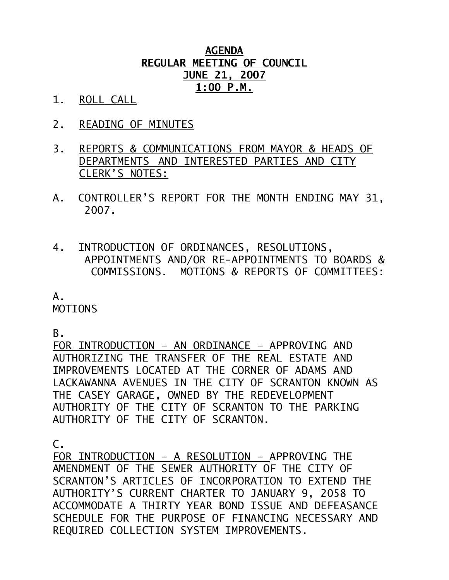## **AGENDA REGULAR MEETING OF COUNCIL JUNE 21, 2007 1:00 P.M.**

- 1. ROLL CALL
- 2. READING OF MINUTES
- 3. REPORTS & COMMUNICATIONS FROM MAYOR & HEADS OF DEPARTMENTS AND INTERESTED PARTIES AND CITY CLERK'S NOTES:
- A. CONTROLLER'S REPORT FOR THE MONTH ENDING MAY 31, 2007.
- 4. INTRODUCTION OF ORDINANCES, RESOLUTIONS, APPOINTMENTS AND/OR RE-APPOINTMENTS TO BOARDS & COMMISSIONS. MOTIONS & REPORTS OF COMMITTEES:

# A.

MOTIONS

B.

FOR INTRODUCTION – AN ORDINANCE – APPROVING AND AUTHORIZING THE TRANSFER OF THE REAL ESTATE AND IMPROVEMENTS LOCATED AT THE CORNER OF ADAMS AND LACKAWANNA AVENUES IN THE CITY OF SCRANTON KNOWN AS THE CASEY GARAGE, OWNED BY THE REDEVELOPMENT AUTHORITY OF THE CITY OF SCRANTON TO THE PARKING AUTHORITY OF THE CITY OF SCRANTON.

 $\mathsf{C}$ .

FOR INTRODUCTION – A RESOLUTION – APPROVING THE AMENDMENT OF THE SEWER AUTHORITY OF THE CITY OF SCRANTON'S ARTICLES OF INCORPORATION TO EXTEND THE AUTHORITY'S CURRENT CHARTER TO JANUARY 9, 2058 TO ACCOMMODATE A THIRTY YEAR BOND ISSUE AND DEFEASANCE SCHEDULE FOR THE PURPOSE OF FINANCING NECESSARY AND REQUIRED COLLECTION SYSTEM IMPROVEMENTS.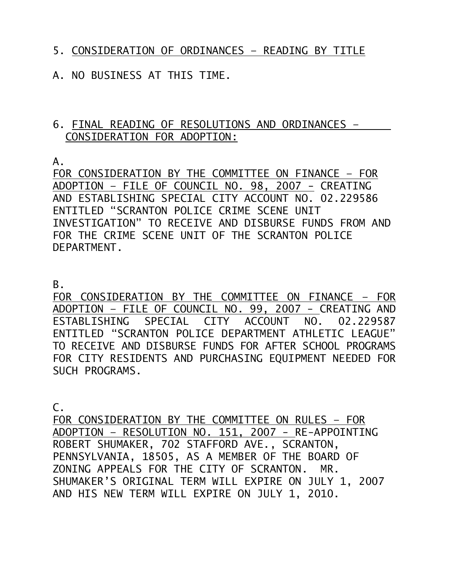### 5. CONSIDERATION OF ORDINANCES – READING BY TITLE

### A. NO BUSINESS AT THIS TIME.

#### 6. FINAL READING OF RESOLUTIONS AND ORDINANCES – CONSIDERATION FOR ADOPTION:

A.

FOR CONSIDERATION BY THE COMMITTEE ON FINANCE – FOR ADOPTION – FILE OF COUNCIL NO. 98, 2007 - CREATING AND ESTABLISHING SPECIAL CITY ACCOUNT NO. 02.229586 ENTITLED "SCRANTON POLICE CRIME SCENE UNIT INVESTIGATION" TO RECEIVE AND DISBURSE FUNDS FROM AND FOR THE CRIME SCENE UNIT OF THE SCRANTON POLICE DEPARTMENT.

B.

FOR CONSIDERATION BY THE COMMITTEE ON FINANCE – FOR ADOPTION – FILE OF COUNCIL NO. 99, 2007 - CREATING AND ESTABLISHING SPECIAL CITY ACCOUNT NO. 02.229587 ENTITLED "SCRANTON POLICE DEPARTMENT ATHLETIC LEAGUE" TO RECEIVE AND DISBURSE FUNDS FOR AFTER SCHOOL PROGRAMS FOR CITY RESIDENTS AND PURCHASING EQUIPMENT NEEDED FOR SUCH PROGRAMS.

C.

FOR CONSIDERATION BY THE COMMITTEE ON RULES – FOR ADOPTION – RESOLUTION NO. 151, 2007 - RE-APPOINTING ROBERT SHUMAKER, 702 STAFFORD AVE., SCRANTON, PENNSYLVANIA, 18505, AS A MEMBER OF THE BOARD OF ZONING APPEALS FOR THE CITY OF SCRANTON. MR. SHUMAKER'S ORIGINAL TERM WILL EXPIRE ON JULY 1, 2007 AND HIS NEW TERM WILL EXPIRE ON JULY 1, 2010.